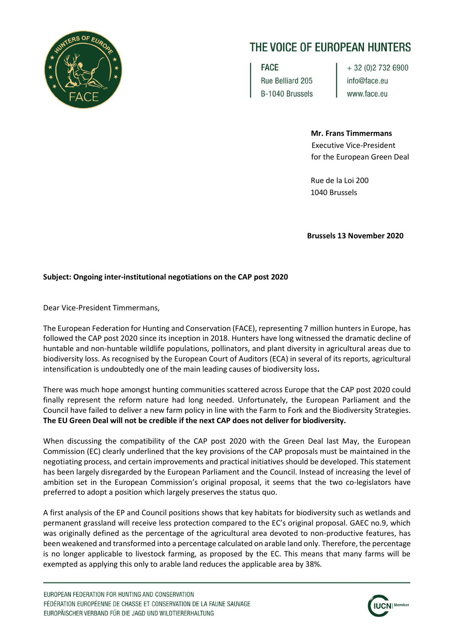

## THE VOICE OF EUROPEAN HUNTERS

FACE Rue Belliard 205 B-1040 Brussels + 32 (0) 2 732 6900 info@face.eu www.face.eu

**Mr. Frans Timmermans** Executive Vice-President for the European Green Deal

 Rue de la Loi 200 1040 Brussels

 **Brussels 13 November 2020**

## **Subject: Ongoing inter-institutional negotiations on the CAP post 2020**

Dear Vice-President Timmermans,

The European Federation for Hunting and Conservation (FACE), representing 7 million hunters in Europe, has followed the CAP post 2020 since its inception in 2018. Hunters have long witnessed the dramatic decline of huntable and non-huntable wildlife populations, pollinators, and plant diversity in agricultural areas due to biodiversity loss. As recognised by the European Court of Auditors (ECA) in several of its reports, agricultural intensification is undoubtedly one of the main leading causes of biodiversity loss**.** 

There was much hope amongst hunting communities scattered across Europe that the CAP post 2020 could finally represent the reform nature had long needed. Unfortunately, the European Parliament and the Council have failed to deliver a new farm policy in line with the Farm to Fork and the Biodiversity Strategies. **The EU Green Deal will not be credible if the next CAP does not deliver for biodiversity.**

When discussing the compatibility of the CAP post 2020 with the Green Deal last May, the European Commission (EC) clearly underlined that the key provisions of the CAP proposals must be maintained in the negotiating process, and certain improvements and practical initiatives should be developed. This statement has been largely disregarded by the European Parliament and the Council. Instead of increasing the level of ambition set in the European Commission's original proposal, it seems that the two co-legislators have preferred to adopt a position which largely preserves the status quo.

A first analysis of the EP and Council positions shows that key habitats for biodiversity such as wetlands and permanent grassland will receive less protection compared to the EC's original proposal. GAEC no.9, which was originally defined as the percentage of the agricultural area devoted to non-productive features, has been weakened and transformed into a percentage calculated on arable land only. Therefore, the percentage is no longer applicable to livestock farming, as proposed by the EC. This means that many farms will be exempted as applying this only to arable land reduces the applicable area by 38%.